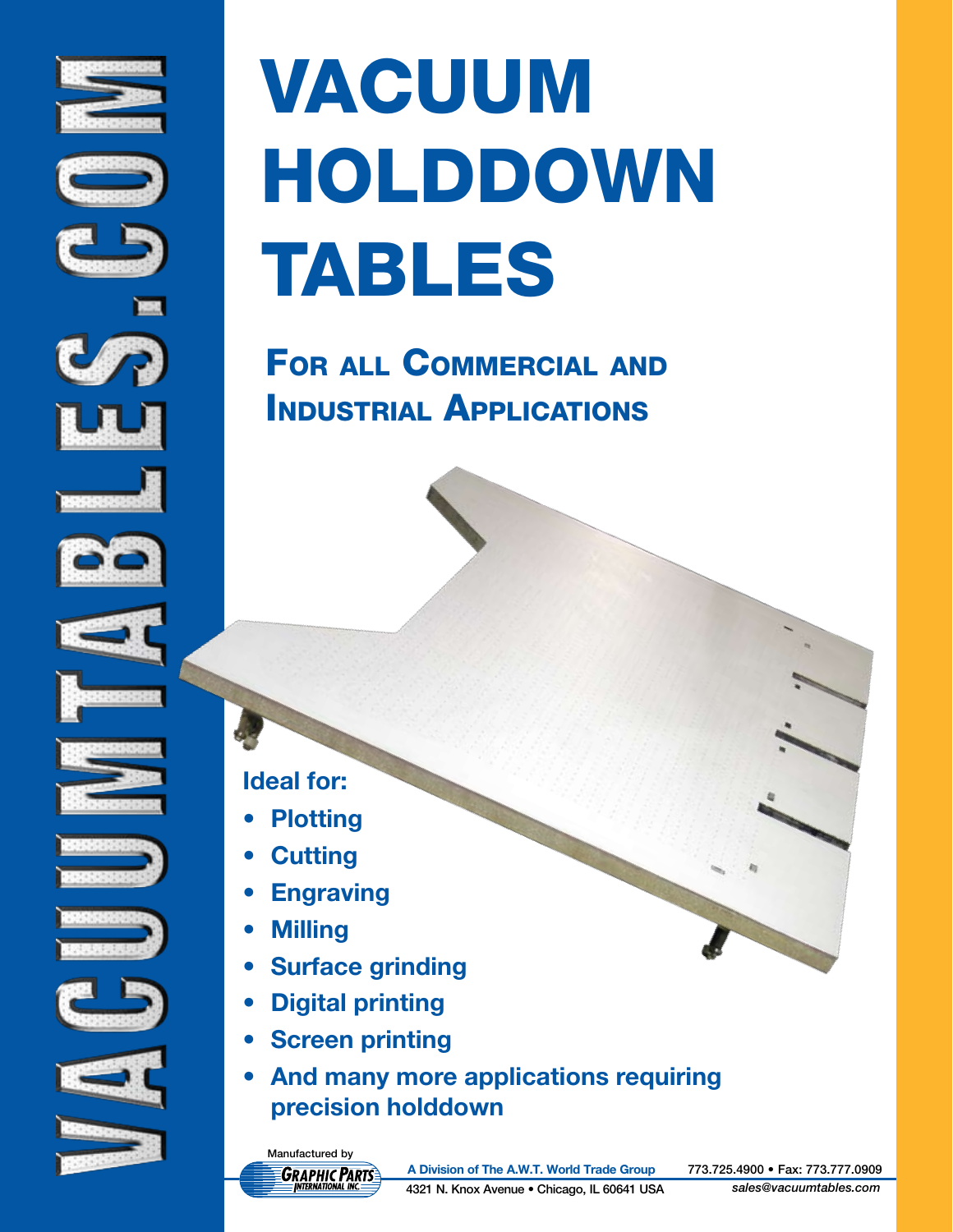





























# vacuum holddown **TABLES**

For all Commercial and Industrial Applications

#### **Ideal for:**

- **Plotting**
- **Cutting**
- **Engraving**
- **• Milling**
- **• Surface grinding**
- **• Digital printing**
- **Screen printing**
- **• And many more applications requiring precision holddown**

Manufactured by *GRAPHIC PARTS* 

**A Division of The A.W.T. World Trade Group** 773.725.4900 • Fax: 773.777.0909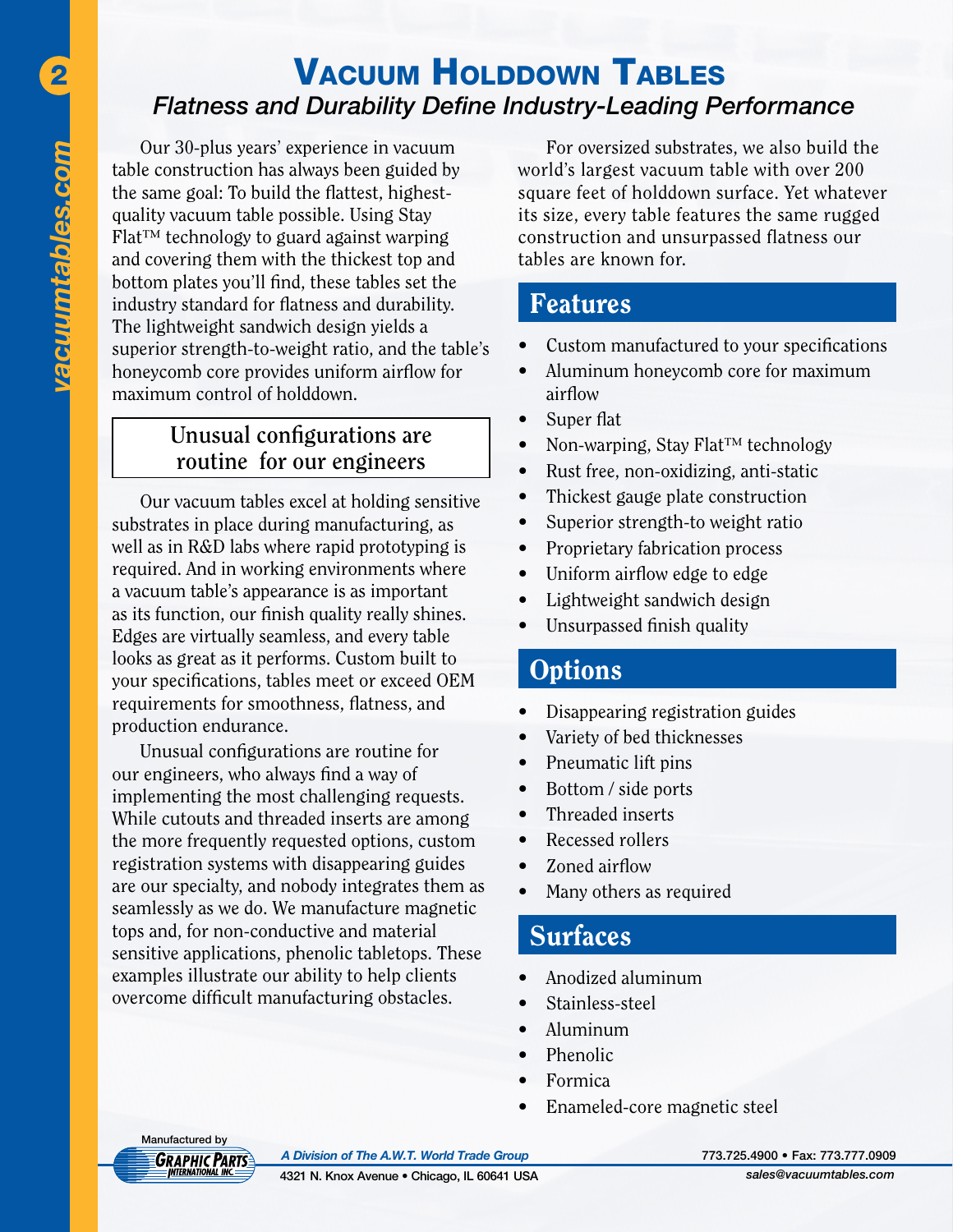# 2 VACUUM HOLDDOWN TABLES *Flatness and Durability Define Industry-Leading Performance*

Our 30-plus years' experience in vacuum table construction has always been guided by the same goal: To build the flattest, highestquality vacuum table possible. Using Stay Flat™ technology to guard against warping and covering them with the thickest top and bottom plates you'll find, these tables set the industry standard for flatness and durability. The lightweight sandwich design yields a superior strength-to-weight ratio, and the table's honeycomb core provides uniform airflow for maximum control of holddown.

#### **Unusual configurations are routine for our engineers**

Our vacuum tables excel at holding sensitive substrates in place during manufacturing, as well as in R&D labs where rapid prototyping is required. And in working environments where a vacuum table's appearance is as important as its function, our finish quality really shines. Edges are virtually seamless, and every table looks as great as it performs. Custom built to your specifications, tables meet or exceed OEM requirements for smoothness, flatness, and production endurance.

Unusual configurations are routine for our engineers, who always find a way of implementing the most challenging requests. While cutouts and threaded inserts are among the more frequently requested options, custom registration systems with disappearing guides are our specialty, and nobody integrates them as seamlessly as we do. We manufacture magnetic tops and, for non-conductive and material sensitive applications, phenolic tabletops. These examples illustrate our ability to help clients overcome difficult manufacturing obstacles.

For oversized substrates, we also build the world's largest vacuum table with over 200 square feet of holddown surface. Yet whatever its size, every table features the same rugged construction and unsurpassed flatness our tables are known for.

#### Features

- Custom manufactured to your specifications
- Aluminum honeycomb core for maximum airflow
- Super flat
- Non-warping, Stay Flat<sup>™</sup> technology
- Rust free, non-oxidizing, anti-static
- Thickest gauge plate construction
- Superior strength-to weight ratio
- Proprietary fabrication process
- Uniform airflow edge to edge
- Lightweight sandwich design
- Unsurpassed finish quality

#### **Options**

- Disappearing registration guides
- Variety of bed thicknesses
- Pneumatic lift pins
- Bottom / side ports
- Threaded inserts
- Recessed rollers
- Zoned airflow
- Many others as required

## Surfaces

- Anodized aluminum
- Stainless-steel
- • Aluminum
- Phenolic
- **Formica**
- Enameled-core magnetic steel



*A Division of The A.W.T. World Trade Group* 773.725.4900 • Fax: 773.777.0909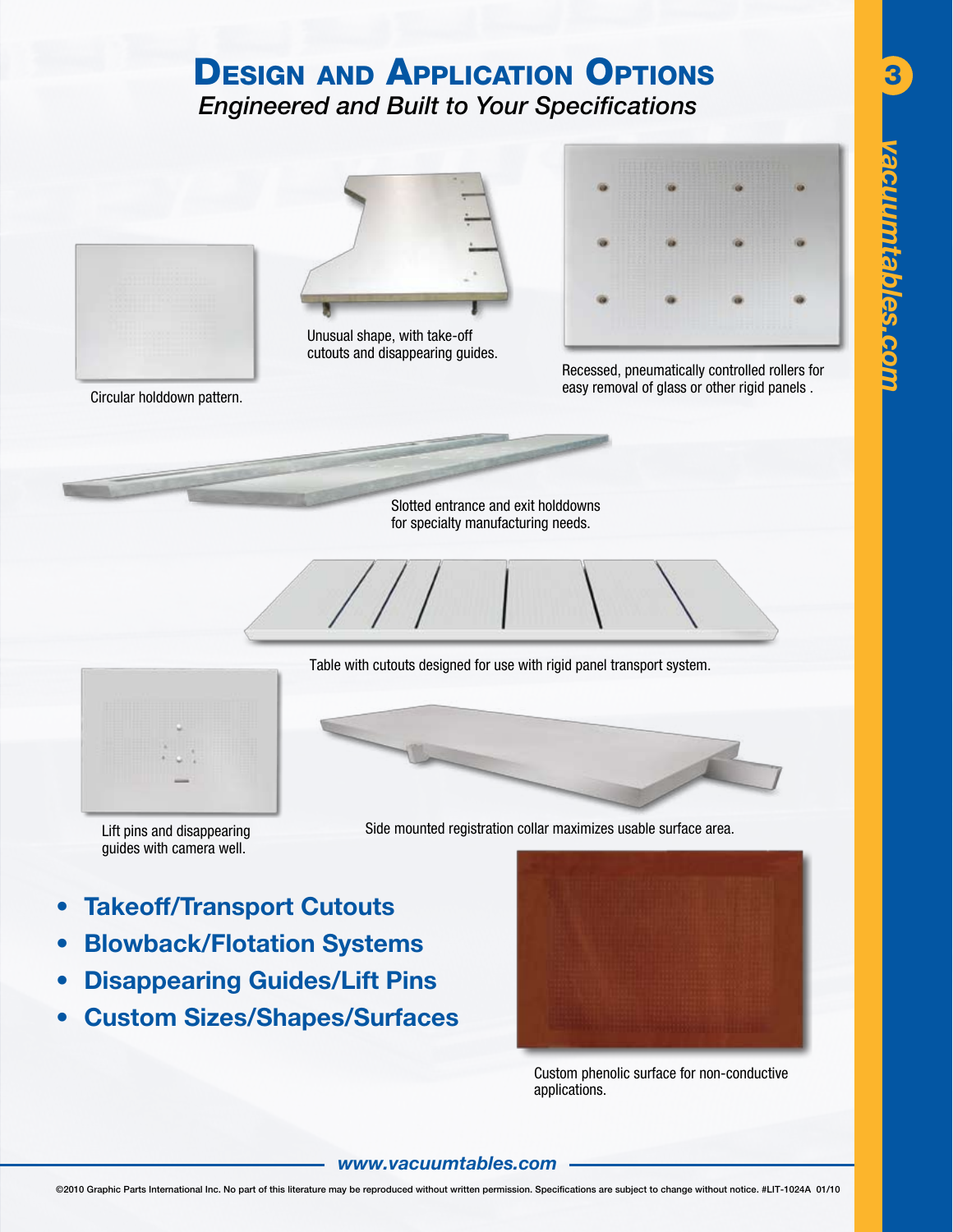# **DESIGN AND APPLICATION OPTIONS** *Engineered and Built to Your Specifications*



Table with cutouts designed for use with rigid panel transport system.



Lift pins and disappearing guides with camera well.

Side mounted registration collar maximizes usable surface area.

- **• Takeoff/Transport Cutouts**
- **• Blowback/Flotation Systems**
- **• Disappearing Guides/Lift Pins**
- **• Custom Sizes/Shapes/Surfaces**



Custom phenolic surface for non-conductive applications.

#### *www.vacuumtables.com*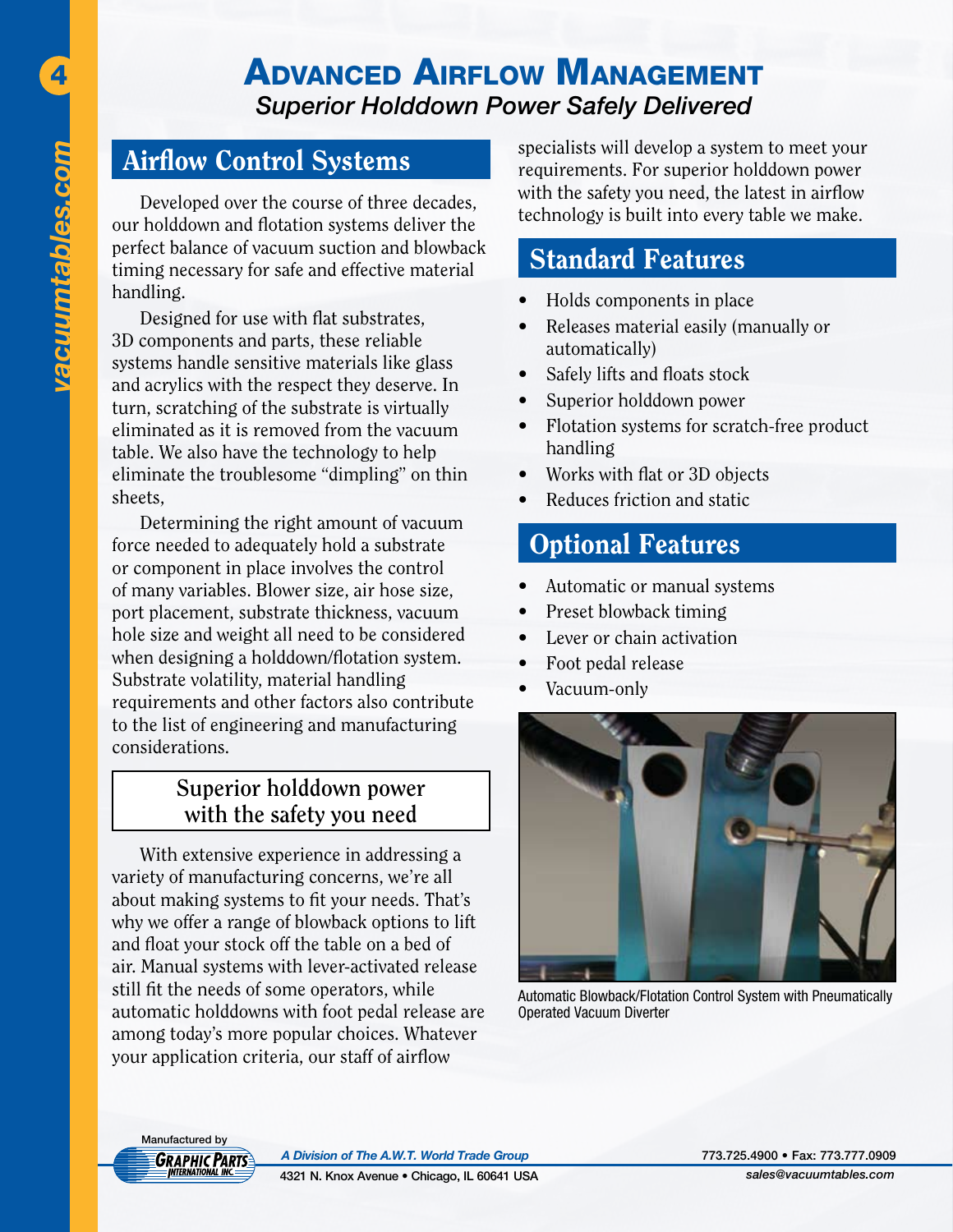4

## Advanced Airflow Management *Superior Holddown Power Safely Delivered*

#### Airflow Control Systems

Developed over the course of three decades, our holddown and flotation systems deliver the perfect balance of vacuum suction and blowback timing necessary for safe and effective material handling.

Designed for use with flat substrates, 3D components and parts, these reliable systems handle sensitive materials like glass and acrylics with the respect they deserve. In turn, scratching of the substrate is virtually eliminated as it is removed from the vacuum table. We also have the technology to help eliminate the troublesome "dimpling" on thin sheets,

Determining the right amount of vacuum force needed to adequately hold a substrate or component in place involves the control of many variables. Blower size, air hose size, port placement, substrate thickness, vacuum hole size and weight all need to be considered when designing a holddown/flotation system. Substrate volatility, material handling requirements and other factors also contribute to the list of engineering and manufacturing considerations.

#### **Superior holddown power with the safety you need**

With extensive experience in addressing a variety of manufacturing concerns, we're all about making systems to fit your needs. That's why we offer a range of blowback options to lift and float your stock off the table on a bed of air. Manual systems with lever-activated release still fit the needs of some operators, while automatic holddowns with foot pedal release are among today's more popular choices. Whatever your application criteria, our staff of airflow

specialists will develop a system to meet your requirements. For superior holddown power with the safety you need, the latest in airflow technology is built into every table we make.

#### Standard Features

- Holds components in place
- • Releases material easily (manually or automatically)
- Safely lifts and floats stock
- Superior holddown power
- Flotation systems for scratch-free product handling
- Works with flat or 3D objects
- Reduces friction and static

## Optional Features

- Automatic or manual systems
- Preset blowback timing
- Lever or chain activation
- Foot pedal release
- Vacuum-only



Automatic Blowback/Flotation Control System with Pneumatically Operated Vacuum Diverter

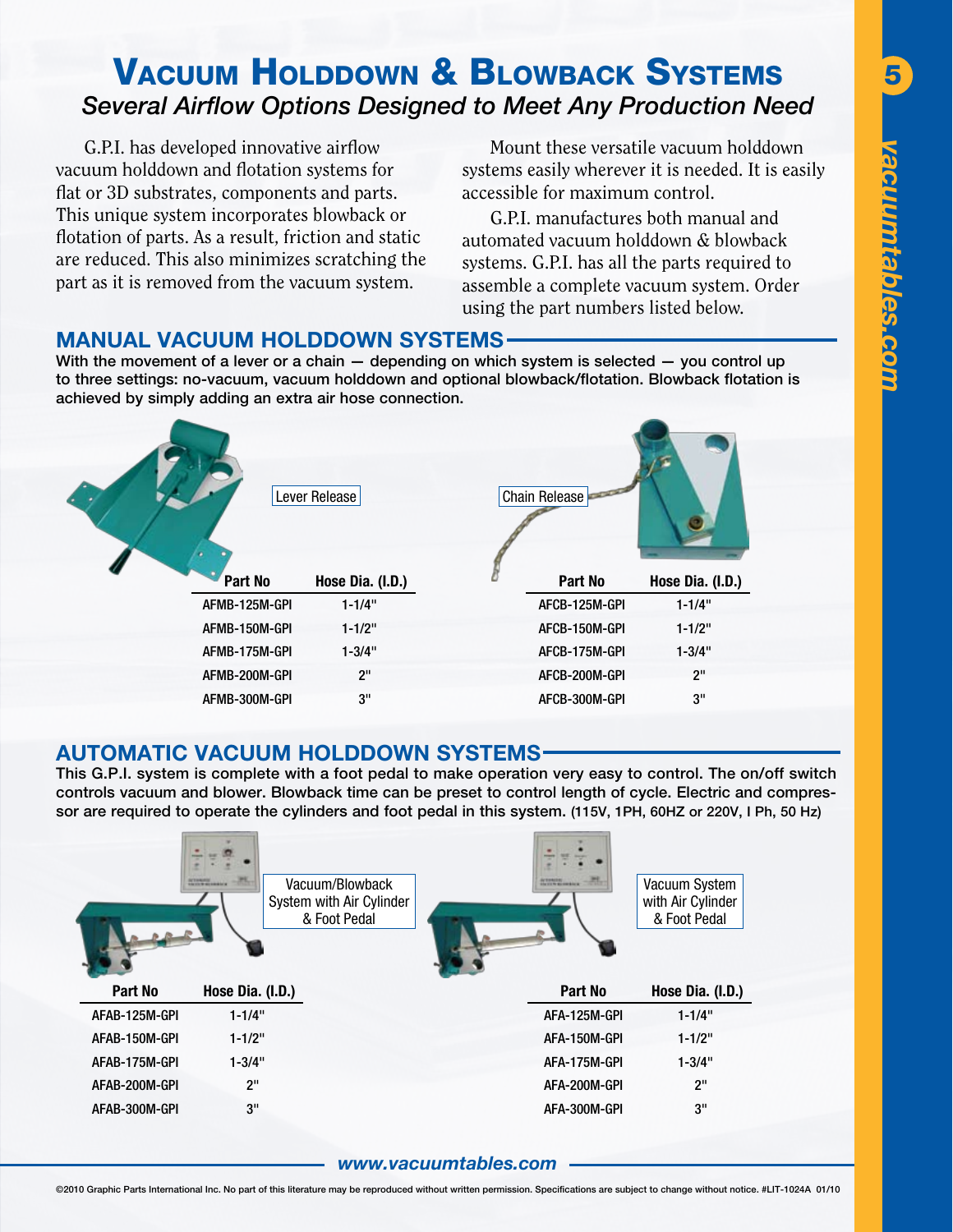## **VACUUM HOLDDOWN & BLOWBACK SYSTEMS** *Several Airflow Options Designed to Meet Any Production Need*

G.P.I. has developed innovative airflow vacuum holddown and flotation systems for flat or 3D substrates, components and parts. This unique system incorporates blowback or flotation of parts. As a result, friction and static are reduced. This also minimizes scratching the part as it is removed from the vacuum system.

Mount these versatile vacuum holddown systems easily wherever it is needed. It is easily accessible for maximum control.

G.P.I. manufactures both manual and automated vacuum holddown & blowback systems. G.P.I. has all the parts required to assemble a complete vacuum system. Order using the part numbers listed below.

#### **MANUAL VACUUM HOLDDOWN SYSTEMS**

With the movement of a lever or a chain – depending on which system is selected – you control up to three settings: no-vacuum, vacuum holddown and optional blowback/flotation. Blowback flotation is achieved by simply adding an extra air hose connection.

| Lever Release |                  |               | <b>Chain Release</b> |  |  |
|---------------|------------------|---------------|----------------------|--|--|
| Part No       | Hose Dia. (I.D.) | Part No       | Hose Dia. (I.D.)     |  |  |
| AFMB-125M-GPI | $1 - 1/4"$       | AFCB-125M-GPI | $1 - 1/4"$           |  |  |
| AFMB-150M-GPI | $1 - 1/2"$       | AFCB-150M-GPI | $1 - 1/2"$           |  |  |
| AFMB-175M-GPI | $1 - 3/4"$       | AFCB-175M-GPI | $1 - 3/4"$           |  |  |
| AFMB-200M-GPI | 2 <sup>11</sup>  | AFCB-200M-GPI | 2"                   |  |  |
| AFMB-300M-GPI | 3"               | AFCB-300M-GPI | 3"                   |  |  |

#### **AUTOMATIC VACUUM HOLDDOWN SYSTEMS**

This G.P.I. system is complete with a foot pedal to make operation very easy to control. The on/off switch controls vacuum and blower. Blowback time can be preset to control length of cycle. Electric and compressor are required to operate the cylinders and foot pedal in this system. (115V, 1PH, 60HZ or 220V, I Ph, 50 Hz)

|               | <b>SCENNING</b><br>Vacuum/Blowback<br>System with Air Cylinder<br>& Foot Pedal | <b><i><u>INTERNATION</u></i></b><br><b><i>ENTER BUSINESS</i></b> | Vacuum System<br>with Air Cylinder<br>& Foot Pedal |
|---------------|--------------------------------------------------------------------------------|------------------------------------------------------------------|----------------------------------------------------|
|               |                                                                                |                                                                  |                                                    |
| Part No       | Hose Dia. (I.D.)                                                               | Part No                                                          | Hose Dia. (I.D.)                                   |
| AFAB-125M-GPI | $1 - 1/4"$                                                                     | AFA-125M-GPI                                                     | $1 - 1/4"$                                         |
| AFAB-150M-GPI | $1 - 1/2"$                                                                     | AFA-150M-GPI                                                     | $1 - 1/2"$                                         |
| AFAB-175M-GPI | $1 - 3/4"$                                                                     | AFA-175M-GPI                                                     | $1 - 3/4"$                                         |
| AFAB-200M-GPI | 2"                                                                             | AFA-200M-GPI                                                     | 2 <sup>11</sup>                                    |

#### *www.vacuumtables.com*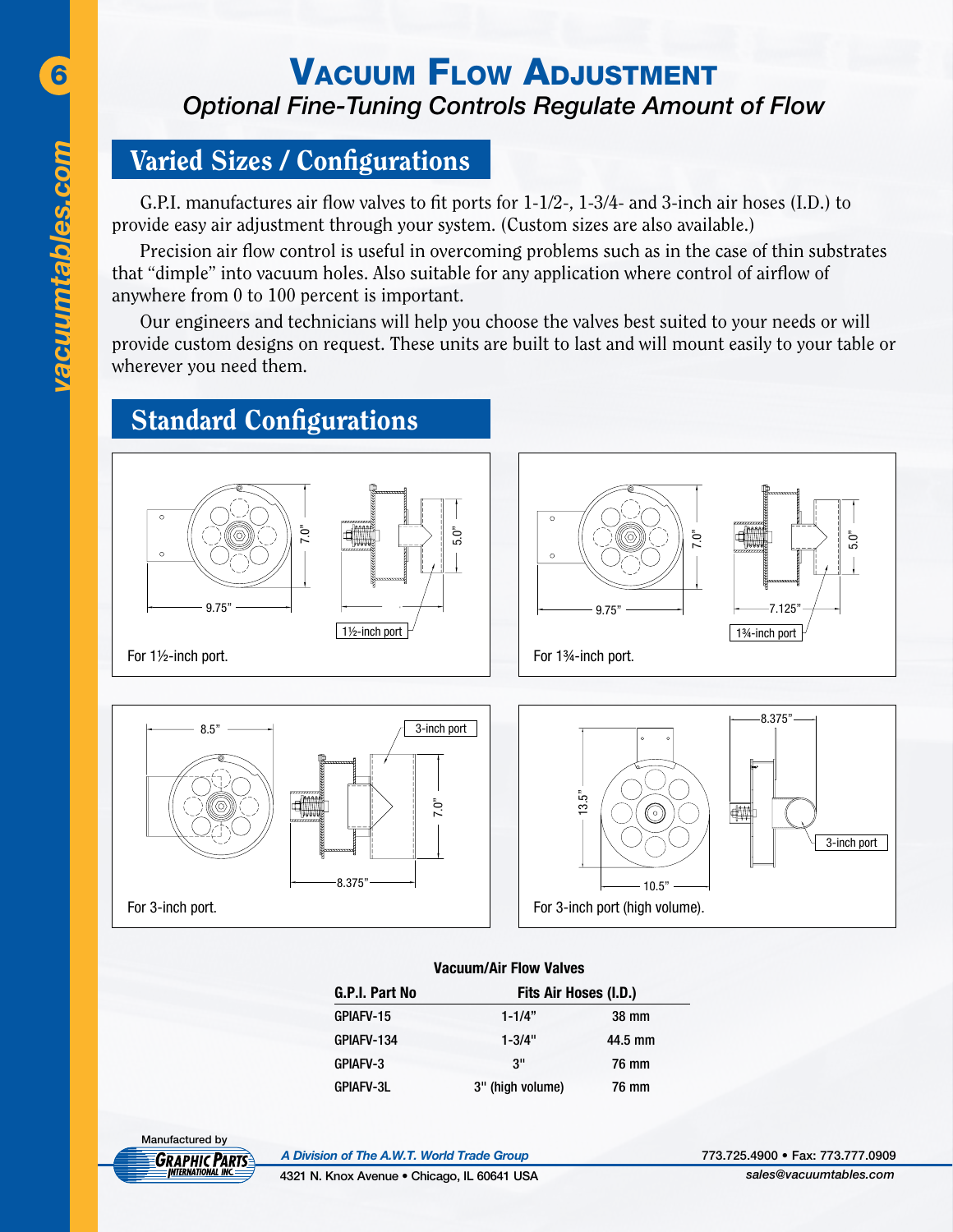## **6 VACUUM FLOW ADJUSTMENT** *Optional Fine-Tuning Controls Regulate Amount of Flow*

#### Varied Sizes / Configurations

G.P.I. manufactures air flow valves to fit ports for 1-1/2-, 1-3/4- and 3-inch air hoses (I.D.) to provide easy air adjustment through your system. (Custom sizes are also available.)

Precision air flow control is useful in overcoming problems such as in the case of thin substrates that "dimple" into vacuum holes. Also suitable for any application where control of airflow of anywhere from 0 to 100 percent is important.

Our engineers and technicians will help you choose the valves best suited to your needs or will provide custom designs on request. These units are built to last and will mount easily to your table or wherever you need them.

# Standard Configurations





For 1½-inch port.





For 1¾-inch port.





For 3-inch port (high volume).

10.5"

#### **Vacuum/Air Flow Valves**

| G.P.I. Part No   | Fits Air Hoses (I.D.) |         |  |
|------------------|-----------------------|---------|--|
| GPIAFV-15        | $1 - 1/4"$            | 38 mm   |  |
| GPIAFV-134       | $1 - 3/4"$            | 44.5 mm |  |
| GPIAFV-3         | 3"                    | 76 mm   |  |
| <b>GPIAFV-3L</b> | 3" (high volume)      | 76 mm   |  |

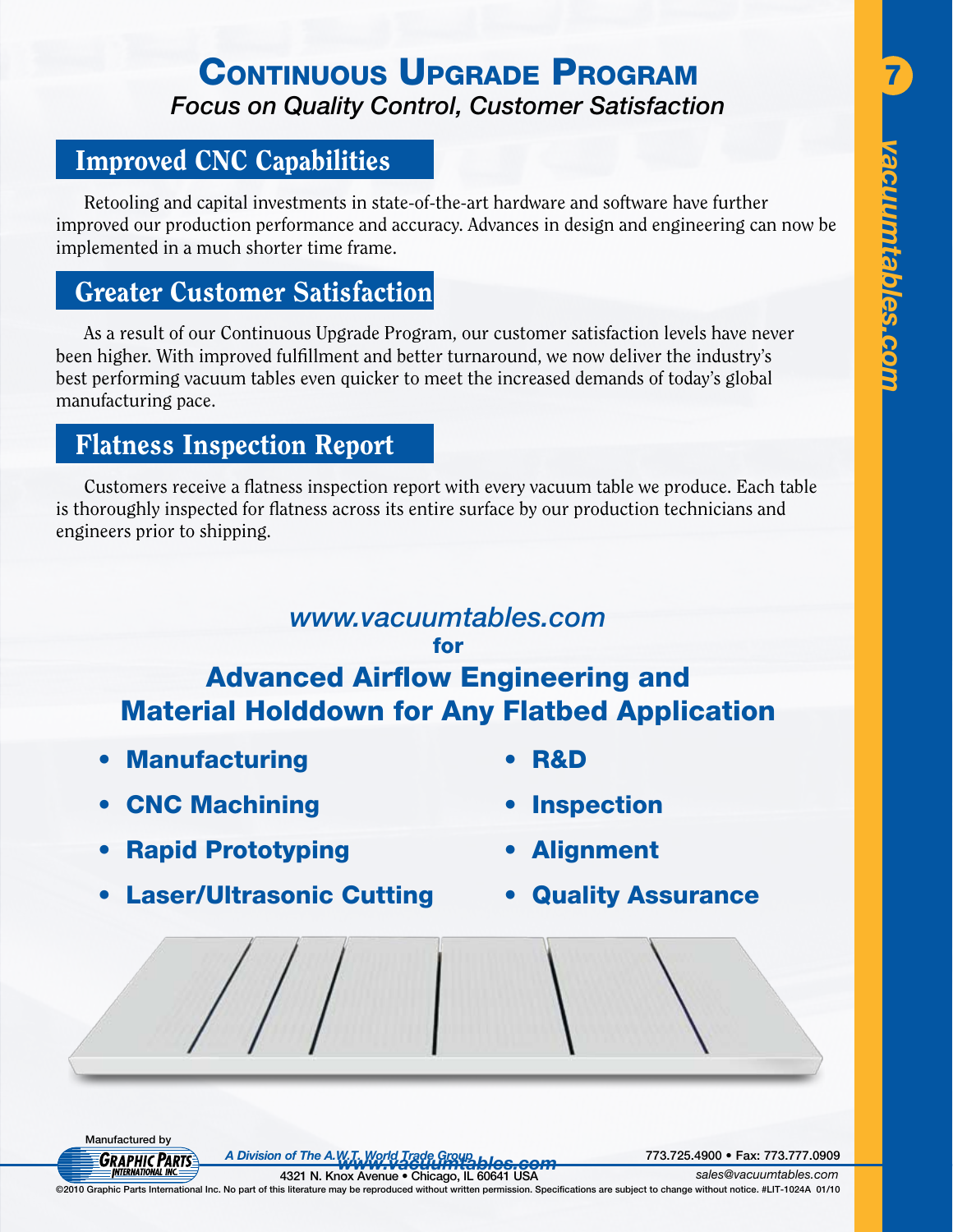# CONTINUOUS UPGRADE PROGRAM *Focus on Quality Control, Customer Satisfaction*

#### Improved CNC Capabilities

Retooling and capital investments in state-of-the-art hardware and software have further improved our production performance and accuracy. Advances in design and engineering can now be implemented in a much shorter time frame.

#### Greater Customer Satisfaction

As a result of our Continuous Upgrade Program, our customer satisfaction levels have never been higher. With improved fulfillment and better turnaround, we now deliver the industry's best performing vacuum tables even quicker to meet the increased demands of today's global manufacturing pace.

#### Flatness Inspection Report

Customers receive a flatness inspection report with every vacuum table we produce. Each table is thoroughly inspected for flatness across its entire surface by our production technicians and engineers prior to shipping.

#### *www.vacuumtables.com* for

#### Advanced Airflow Engineering and Material Holddown for Any Flatbed Application

- **Manufacturing**
- • CNC Machining

**R&D** 

- **Rapid Prototyping**
- **Laser/Ultrasonic Cutting**
- **Alignment**
- **Quality Assurance**



*www.vacuumtables.com A Division of The A.W.T. World Trade Group* 773.725.4900 • Fax: 773.777.0909

©2010 Graphic Parts International Inc. No part of this literature may be reproduced without written permission. Specifications are subject to change without notice. #LIT-1024A 01/10 4321 N. Knox Avenue • Chicago, IL 60641 USA *sales@vacuumtables.com*

- **Inspection**
- 
-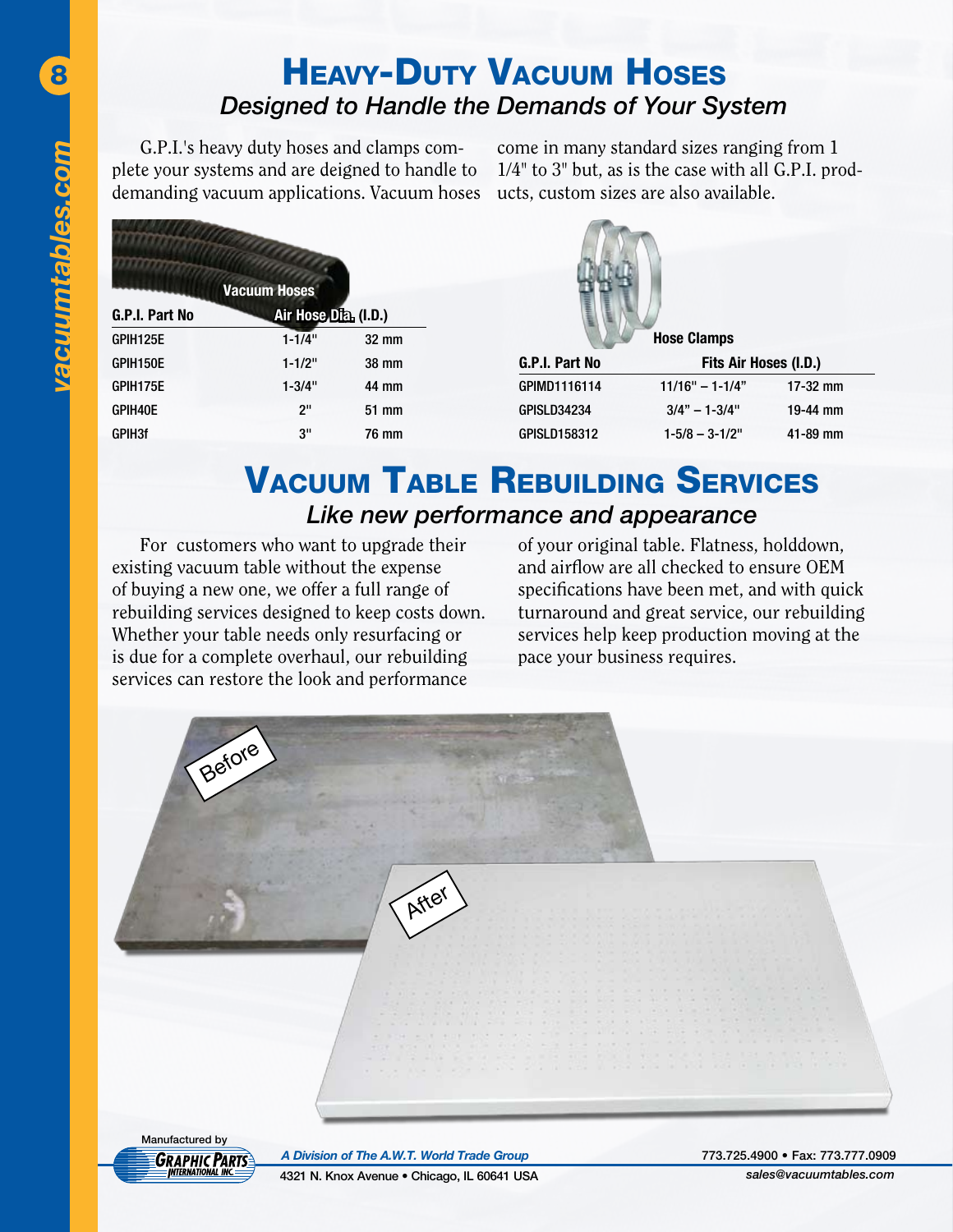8

## Heavy-Duty Vacuum Hoses *Designed to Handle the Demands of Your System*

G.P.I.'s heavy duty hoses and clamps complete your systems and are deigned to handle to demanding vacuum applications. Vacuum hoses

come in many standard sizes ranging from 1 1/4" to 3" but, as is the case with all G.P.I. products, custom sizes are also available.

|                | <b>Vacuum Hoses</b>  |                 |                    |                       |              |
|----------------|----------------------|-----------------|--------------------|-----------------------|--------------|
| G.P.I. Part No | Air Hose Dia. (I.D.) |                 |                    |                       |              |
| GPIH125E       | $1 - 1/4"$           | $32 \text{ mm}$ |                    | <b>Hose Clamps</b>    |              |
| GPIH150E       | $1 - 1/2"$           | 38 mm           | G.P.I. Part No     | Fits Air Hoses (I.D.) |              |
| GPIH175E       | $1 - 3/4"$           | 44 mm           | GPIMD1116114       | $11/16" - 1-1/4"$     | $17-32$ mm   |
| GPIH40E        | 2"                   | 51 mm           | <b>GPISLD34234</b> | $3/4" - 1 - 3/4"$     | 19-44 mm     |
| <b>GPIH3f</b>  | 3"                   | 76 mm           | GPISLD158312       | $1 - 5/8 - 3 - 1/2"$  | $41 - 89$ mm |

## **VACUUM TABLE REBUILDING SERVICES** *Like new performance and appearance*

For customers who want to upgrade their existing vacuum table without the expense of buying a new one, we offer a full range of rebuilding services designed to keep costs down. Whether your table needs only resurfacing or is due for a complete overhaul, our rebuilding services can restore the look and performance

of your original table. Flatness, holddown, and airflow are all checked to ensure OEM specifications have been met, and with quick turnaround and great service, our rebuilding services help keep production moving at the pace your business requires.

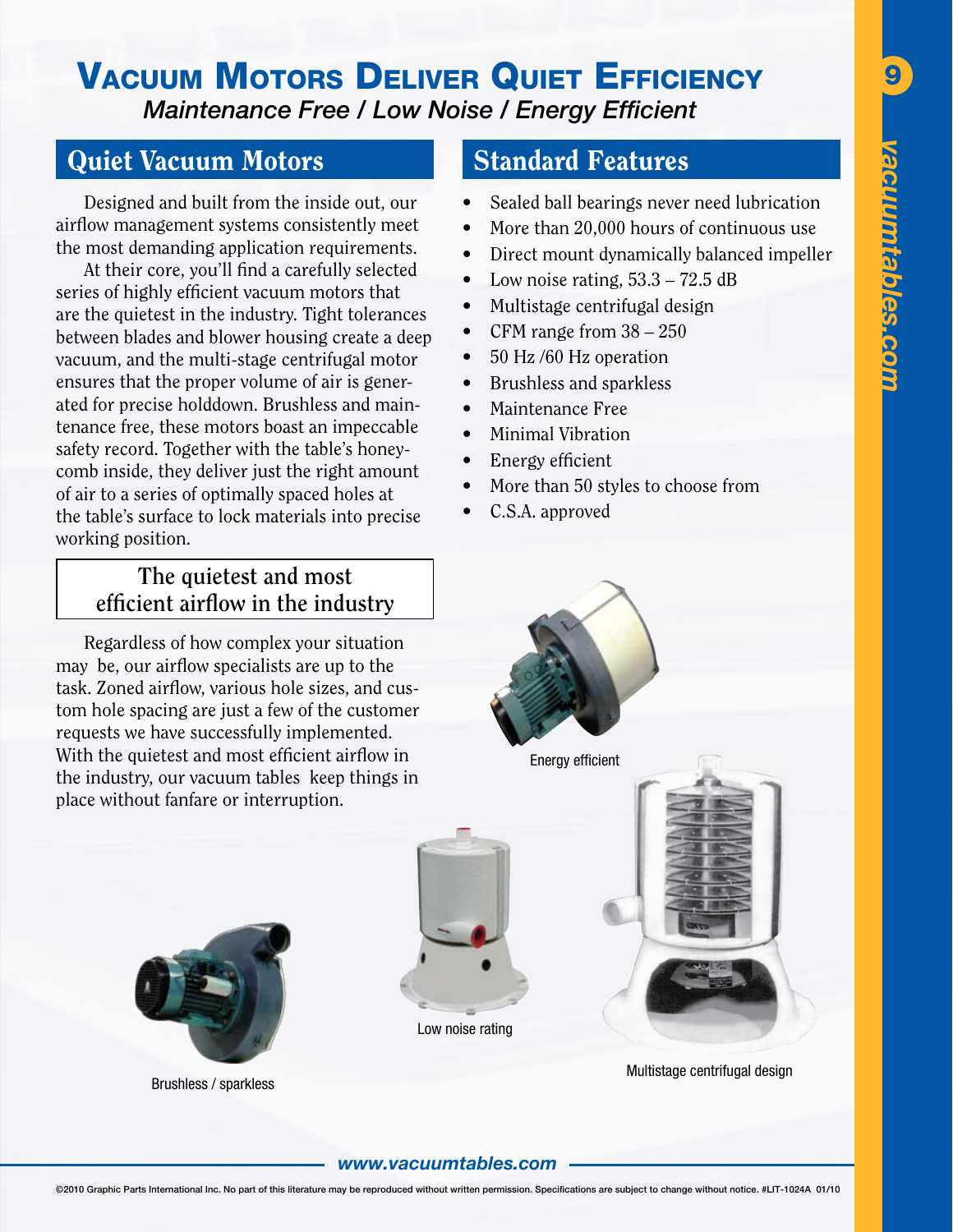#### VACUUM MOTORS DELIVER QUIET EFFICIENCY 9 *Maintenance Free / Low Noise / Energy Efficient*

#### Quiet Vacuum Motors

Designed and built from the inside out, our airflow management systems consistently meet the most demanding application requirements.

At their core, you'll find a carefully selected series of highly efficient vacuum motors that are the quietest in the industry. Tight tolerances between blades and blower housing create a deep vacuum, and the multi-stage centrifugal motor ensures that the proper volume of air is generated for precise holddown. Brushless and maintenance free, these motors boast an impeccable safety record. Together with the table's honeycomb inside, they deliver just the right amount of air to a series of optimally spaced holes at the table's surface to lock materials into precise working position.

#### **The quietest and most efficient airflow in the industry**

Regardless of how complex your situation may be, our airflow specialists are up to the task. Zoned airflow, various hole sizes, and custom hole spacing are just a few of the customer requests we have successfully implemented. With the quietest and most efficient airflow in the industry, our vacuum tables keep things in place without fanfare or interruption.

#### Standard Features

- Sealed ball bearings never need lubrication
- More than 20,000 hours of continuous use
- Direct mount dynamically balanced impeller
- Low noise rating,  $53.3 72.5$  dB
- Multistage centrifugal design
- CFM range from  $38 250$
- 50 Hz /60 Hz operation
- Brushless and sparkless

Energy efficient

- Maintenance Free
- • Minimal Vibration
- Energy efficient
- More than 50 styles to choose from
- C.S.A. approved



Brushless / sparkless



Low noise rating

Multistage centrifugal design

#### *www.vacuumtables.com*